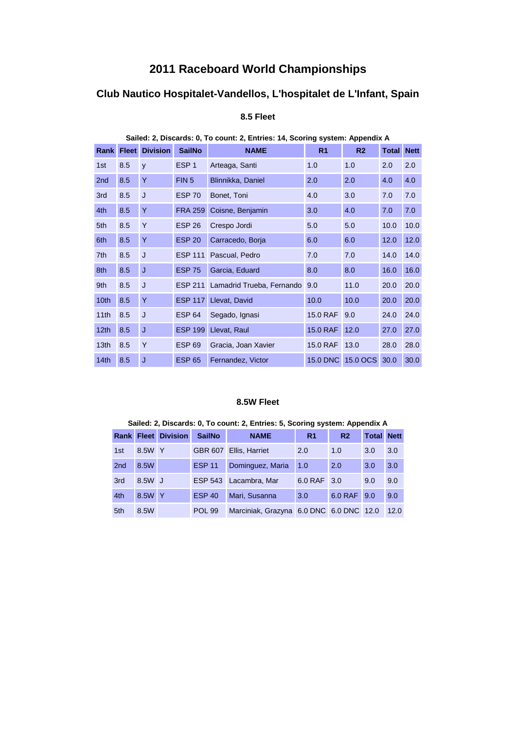# **2011 Raceboard World Championships**

## **Club Nautico Hospitalet-Vandellos, L'hospitalet de L'Infant, Spain**

| Sailed: 2, Discards: 0, To count: 2, Entries: 14, Scoring system: Appendix A |              |                 |                  |                           |                 |                |              |             |  |  |
|------------------------------------------------------------------------------|--------------|-----------------|------------------|---------------------------|-----------------|----------------|--------------|-------------|--|--|
| Rank                                                                         | <b>Fleet</b> | <b>Division</b> | <b>SailNo</b>    | <b>NAME</b>               | R <sub>1</sub>  | R <sub>2</sub> | <b>Total</b> | <b>Nett</b> |  |  |
| 1st                                                                          | 8.5          | y               | ESP <sub>1</sub> | Arteaga, Santi            | 1.0             | 1.0            | 2.0          | 2.0         |  |  |
| 2 <sub>nd</sub>                                                              | 8.5          | Y               | FIN <sub>5</sub> | Blinnikka, Daniel         | 2.0             | 2.0            | 4.0          | 4.0         |  |  |
| 3rd                                                                          | 8.5          | J               | <b>ESP 70</b>    | Bonet, Toni               | 4.0             | 3.0            | 7.0          | 7.0         |  |  |
| 4th                                                                          | 8.5          | Y               | <b>FRA 259</b>   | Coisne, Benjamin          | 3.0             | 4.0            | 7.0          | 7.0         |  |  |
| 5th                                                                          | 8.5          | Y               | <b>ESP 26</b>    | Crespo Jordi              | 5.0             | 5.0            | 10.0         | 10.0        |  |  |
| 6th                                                                          | 8.5          | Y               | <b>ESP 20</b>    | Carracedo, Borja          | 6.0             | 6.0            | 12.0         | 12.0        |  |  |
| 7th                                                                          | 8.5          | J               | <b>ESP 111</b>   | Pascual, Pedro            | 7.0             | 7.0            | 14.0         | 14.0        |  |  |
| 8th                                                                          | 8.5          | J               | <b>ESP 75</b>    | Garcia, Eduard            | 8.0             | 8.0            | 16.0         | 16.0        |  |  |
| 9 <sub>th</sub>                                                              | 8.5          | J               | <b>ESP 211</b>   | Lamadrid Trueba, Fernando | 9.0             | 11.0           | 20.0         | 20.0        |  |  |
| 10th                                                                         | 8.5          | Y               | <b>ESP 117</b>   | Llevat, David             | 10.0            | 10.0           | 20.0         | 20.0        |  |  |
| 11 <sub>th</sub>                                                             | 8.5          | J               | <b>ESP 64</b>    | Segado, Ignasi            | <b>15.0 RAF</b> | 9.0            | 24.0         | 24.0        |  |  |
| 12 <sub>th</sub>                                                             | 8.5          | J               | <b>ESP 199</b>   | Llevat, Raul              | <b>15.0 RAF</b> | 12.0           | 27.0         | 27.0        |  |  |
| 13th                                                                         | 8.5          | Y               | <b>ESP 69</b>    | Gracia, Joan Xavier       | 15.0 RAF        | 13.0           | 28.0         | 28.0        |  |  |
| 14 <sub>th</sub>                                                             | 8.5          | J               | <b>ESP 65</b>    | Fernandez, Victor         | <b>15.0 DNC</b> | 15.0 OCS       | 30.0         | 30.0        |  |  |

## **8.5 Fleet**

#### **8.5W Fleet**

|                 |        | <b>Rank Fleet Division</b> | <b>SailNo</b>  | <b>NAME</b>                             | R <sub>1</sub> | R <sub>2</sub> | <b>Total Nett</b> |      |
|-----------------|--------|----------------------------|----------------|-----------------------------------------|----------------|----------------|-------------------|------|
| 1st             | 8.5W   | -Y                         | <b>GBR 607</b> | Ellis, Harriet                          | 2.0            | 1.0            | 3.0               | 3.0  |
| 2 <sub>nd</sub> | 8.5W   |                            | <b>ESP 11</b>  | Dominguez, Maria                        | 1.0            | 2.0            | 3.0               | 3.0  |
| 3rd             | 8.5W J |                            | <b>ESP 543</b> | Lacambra, Mar                           | 6.0 RAF 3.0    |                | 9.0               | 9.0  |
| 4th             | 8.5W   | <b>Y</b>                   | <b>ESP 40</b>  | Mari, Susanna                           | 3.0            | 6.0 RAF        | 9.0               | 9.0  |
| 5th             | 8.5W   |                            | <b>POL 99</b>  | Marciniak, Grazyna 6.0 DNC 6.0 DNC 12.0 |                |                |                   | 12.0 |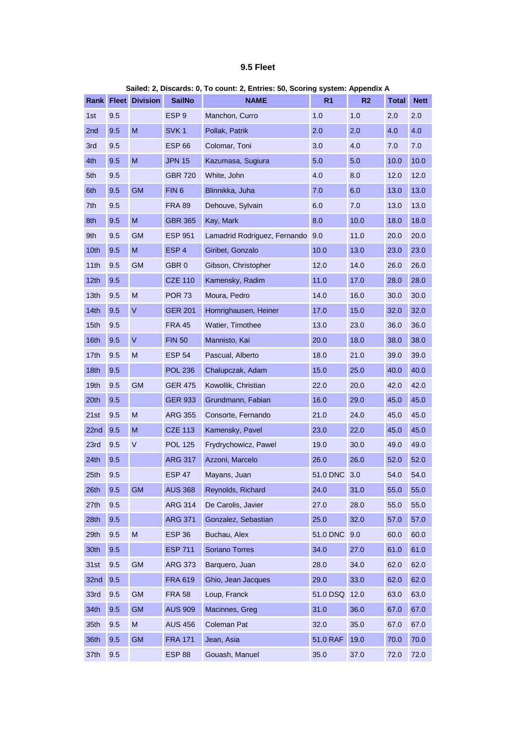### **9.5 Fleet**

|                  |     |                            |                  | v vvana sjenarvo, vvj            |          |      |       |             |
|------------------|-----|----------------------------|------------------|----------------------------------|----------|------|-------|-------------|
|                  |     | <b>Rank Fleet Division</b> | <b>SailNo</b>    | <b>NAME</b>                      | R1       | R2   | Total | <b>Nett</b> |
| 1st              | 9.5 |                            | ESP <sub>9</sub> | Manchon, Curro                   | 1.0      | 1.0  | 2.0   | 2.0         |
| 2nd              | 9.5 | M                          | SVK <sub>1</sub> | Pollak, Patrik                   | 2.0      | 2.0  | 4.0   | 4.0         |
| 3rd              | 9.5 |                            | <b>ESP 66</b>    | Colomar, Toni                    | 3.0      | 4.0  | 7.0   | 7.0         |
| 4th              | 9.5 | M                          | <b>JPN 15</b>    | Kazumasa, Sugiura                | 5.0      | 5.0  | 10.0  | 10.0        |
| 5th              | 9.5 |                            | <b>GBR 720</b>   | White, John                      | 4.0      | 8.0  | 12.0  | 12.0        |
| 6th              | 9.5 | <b>GM</b>                  | FIN <sub>6</sub> | Blinnikka, Juha                  | 7.0      | 6.0  | 13.0  | 13.0        |
| 7th              | 9.5 |                            | <b>FRA 89</b>    | Dehouve, Sylvain                 | 6.0      | 7.0  | 13.0  | 13.0        |
| 8th              | 9.5 | M                          | <b>GBR 365</b>   | Kay, Mark                        | 8.0      | 10.0 | 18.0  | 18.0        |
| 9th              | 9.5 | GM                         | <b>ESP 951</b>   | Lamadrid Rodriguez, Fernando 9.0 |          | 11.0 | 20.0  | 20.0        |
| 10th             | 9.5 | M                          | ESP <sub>4</sub> | Giribet, Gonzalo                 | 10.0     | 13.0 | 23.0  | 23.0        |
| 11th             | 9.5 | GM                         | GBR <sub>0</sub> | Gibson, Christopher              | 12.0     | 14.0 | 26.0  | 26.0        |
| 12th             | 9.5 |                            | <b>CZE 110</b>   | Kamensky, Radim                  | 11.0     | 17.0 | 28.0  | 28.0        |
| 13 <sub>th</sub> | 9.5 | М                          | <b>POR 73</b>    | Moura, Pedro                     | 14.0     | 16.0 | 30.0  | 30.0        |
| 14th             | 9.5 | V                          | <b>GER 201</b>   | Homrighausen, Heiner             | 17.0     | 15.0 | 32.0  | 32.0        |
| 15th             | 9.5 |                            | <b>FRA 45</b>    | Watier, Timothee                 | 13.0     | 23.0 | 36.0  | 36.0        |
| 16th             | 9.5 | $\sf V$                    | <b>FIN 50</b>    | Mannisto, Kai                    | 20.0     | 18.0 | 38.0  | 38.0        |
| 17th             | 9.5 | M                          | <b>ESP 54</b>    | Pascual, Alberto                 | 18.0     | 21.0 | 39.0  | 39.0        |
| 18th             | 9.5 |                            | <b>POL 236</b>   | Chalupczak, Adam                 | 15.0     | 25.0 | 40.0  | 40.0        |
| 19 <sub>th</sub> | 9.5 | <b>GM</b>                  | <b>GER 475</b>   | Kowollik, Christian              | 22.0     | 20.0 | 42.0  | 42.0        |
| 20th             | 9.5 |                            | <b>GER 933</b>   | Grundmann, Fabian                | 16.0     | 29.0 | 45.0  | 45.0        |
| 21st             | 9.5 | M                          | <b>ARG 355</b>   | Consorte, Fernando               | 21.0     | 24.0 | 45.0  | 45.0        |
| 22nd             | 9.5 | M                          | <b>CZE 113</b>   | Kamensky, Pavel                  | 23.0     | 22.0 | 45.0  | 45.0        |
| 23rd             | 9.5 | V                          | <b>POL 125</b>   | Frydrychowicz, Pawel             | 19.0     | 30.0 | 49.0  | 49.0        |
| 24th             | 9.5 |                            | <b>ARG 317</b>   | Azzoni, Marcelo                  | 26.0     | 26.0 | 52.0  | 52.0        |
| 25th             | 9.5 |                            | <b>ESP 47</b>    | Mayans, Juan                     | 51.0 DNC | 3.0  | 54.0  | 54.0        |
| 26th             | 9.5 | <b>GM</b>                  | <b>AUS 368</b>   | Reynolds, Richard                | 24.0     | 31.0 | 55.0  | 55.0        |
| 27th             | 9.5 |                            | <b>ARG 314</b>   | De Carolis, Javier               | 27.0     | 28.0 | 55.0  | 55.0        |
| 28th             | 9.5 |                            | <b>ARG 371</b>   | Gonzalez, Sebastian              | 25.0     | 32.0 | 57.0  | 57.0        |
| 29th             | 9.5 | M                          | <b>ESP 36</b>    | Buchau, Alex                     | 51.0 DNC | 9.0  | 60.0  | 60.0        |
| 30th             | 9.5 |                            | <b>ESP 711</b>   | Soriano Torres                   | 34.0     | 27.0 | 61.0  | 61.0        |
| 31st             | 9.5 | <b>GM</b>                  | <b>ARG 373</b>   | Barquero, Juan                   | 28.0     | 34.0 | 62.0  | 62.0        |
| 32nd             | 9.5 |                            | <b>FRA 619</b>   | Ghio, Jean Jacques               | 29.0     | 33.0 | 62.0  | 62.0        |
| 33rd             | 9.5 | <b>GM</b>                  | <b>FRA 58</b>    | Loup, Franck                     | 51.0 DSQ | 12.0 | 63.0  | 63.0        |
| 34th             | 9.5 | <b>GM</b>                  | <b>AUS 909</b>   | Macinnes, Greg                   | 31.0     | 36.0 | 67.0  | 67.0        |
| 35th             | 9.5 | M                          | <b>AUS 456</b>   | Coleman Pat                      | 32.0     | 35.0 | 67.0  | 67.0        |
| 36th             | 9.5 | <b>GM</b>                  | <b>FRA 171</b>   | Jean, Asia                       | 51.0 RAF | 19.0 | 70.0  | 70.0        |
| 37th             | 9.5 |                            | <b>ESP 88</b>    | Gouash, Manuel                   | 35.0     | 37.0 | 72.0  | 72.0        |

#### **Sailed: 2, Discards: 0, To count: 2, Entries: 50, Scoring system: Appendix A**